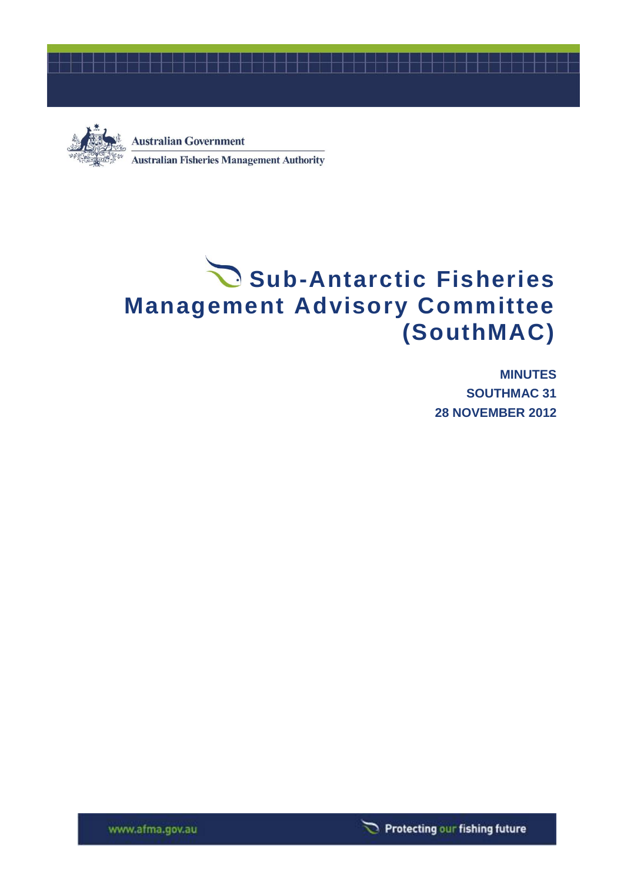



**Australian Government Australian Fisheries Management Authority** 

# Sub-Antarctic Fisheries **Management Advisory Committee (SouthMAC)**

**MINUTES SOUTHMAC 31 28 NOVEMBER 2012**



www.afma.gov.au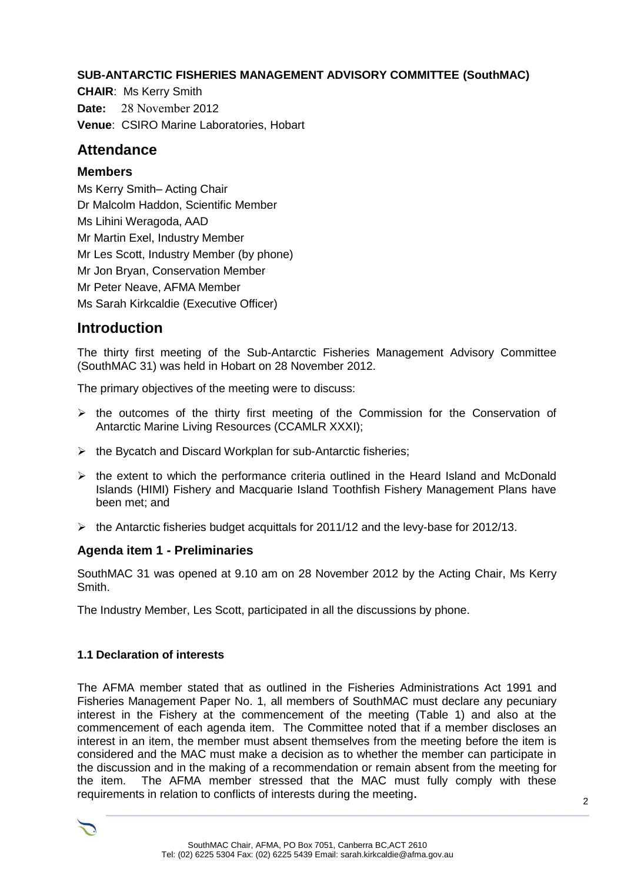#### **SUB-ANTARCTIC FISHERIES MANAGEMENT ADVISORY COMMITTEE (SouthMAC)**

**CHAIR**: Ms Kerry Smith **Date:** 28 November 2012 **Venue**: CSIRO Marine Laboratories, Hobart

# **Attendance**

#### **Members**

Ms Kerry Smith– Acting Chair Dr Malcolm Haddon, Scientific Member Ms Lihini Weragoda, AAD Mr Martin Exel, Industry Member Mr Les Scott, Industry Member (by phone) Mr Jon Bryan, Conservation Member Mr Peter Neave, AFMA Member Ms Sarah Kirkcaldie (Executive Officer)

# **Introduction**

The thirty first meeting of the Sub-Antarctic Fisheries Management Advisory Committee (SouthMAC 31) was held in Hobart on 28 November 2012.

The primary objectives of the meeting were to discuss:

- $\triangleright$  the outcomes of the thirty first meeting of the Commission for the Conservation of Antarctic Marine Living Resources (CCAMLR XXXI);
- $\triangleright$  the Bycatch and Discard Workplan for sub-Antarctic fisheries;
- $\triangleright$  the extent to which the performance criteria outlined in the Heard Island and McDonald Islands (HIMI) Fishery and Macquarie Island Toothfish Fishery Management Plans have been met; and
- $\triangleright$  the Antarctic fisheries budget acquittals for 2011/12 and the levy-base for 2012/13.

#### **Agenda item 1 - Preliminaries**

SouthMAC 31 was opened at 9.10 am on 28 November 2012 by the Acting Chair, Ms Kerry Smith.

The Industry Member, Les Scott, participated in all the discussions by phone.

#### **1.1 Declaration of interests**

The AFMA member stated that as outlined in the Fisheries Administrations Act 1991 and Fisheries Management Paper No. 1, all members of SouthMAC must declare any pecuniary interest in the Fishery at the commencement of the meeting (Table 1) and also at the commencement of each agenda item. The Committee noted that if a member discloses an interest in an item, the member must absent themselves from the meeting before the item is considered and the MAC must make a decision as to whether the member can participate in the discussion and in the making of a recommendation or remain absent from the meeting for the item. The AFMA member stressed that the MAC must fully comply with these requirements in relation to conflicts of interests during the meeting**.**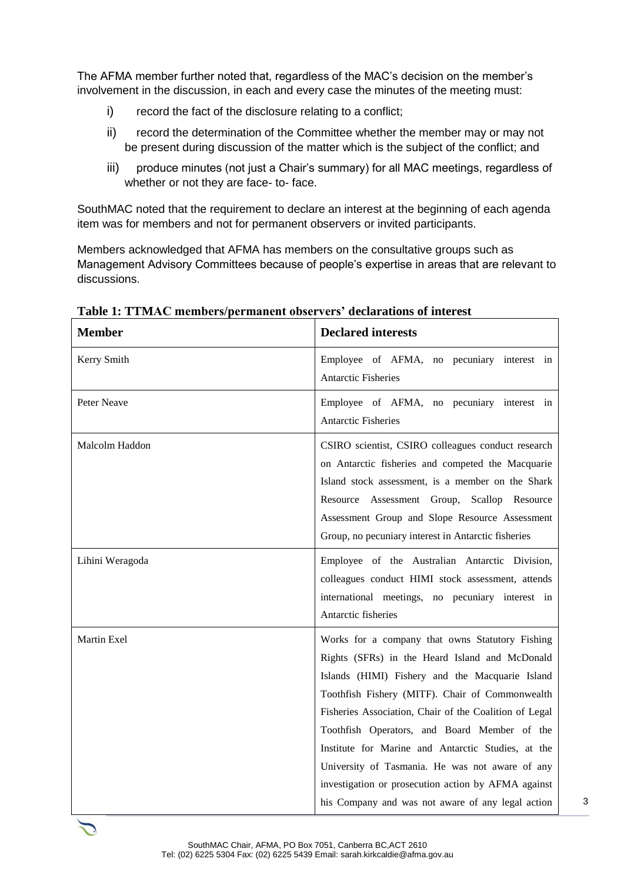The AFMA member further noted that, regardless of the MAC's decision on the member's involvement in the discussion, in each and every case the minutes of the meeting must:

- i) record the fact of the disclosure relating to a conflict;
- ii) record the determination of the Committee whether the member may or may not be present during discussion of the matter which is the subject of the conflict; and
- iii) produce minutes (not just a Chair's summary) for all MAC meetings, regardless of whether or not they are face- to- face.

SouthMAC noted that the requirement to declare an interest at the beginning of each agenda item was for members and not for permanent observers or invited participants.

Members acknowledged that AFMA has members on the consultative groups such as Management Advisory Committees because of people's expertise in areas that are relevant to discussions.

| <b>Member</b>   | <b>Declared interests</b>                                                                                                                                                                                                                                                                                                                                                                                                                                                                                                              |
|-----------------|----------------------------------------------------------------------------------------------------------------------------------------------------------------------------------------------------------------------------------------------------------------------------------------------------------------------------------------------------------------------------------------------------------------------------------------------------------------------------------------------------------------------------------------|
| Kerry Smith     | Employee of AFMA, no pecuniary interest in<br><b>Antarctic Fisheries</b>                                                                                                                                                                                                                                                                                                                                                                                                                                                               |
| Peter Neave     | Employee of AFMA, no pecuniary interest in<br>Antarctic Fisheries                                                                                                                                                                                                                                                                                                                                                                                                                                                                      |
| Malcolm Haddon  | CSIRO scientist, CSIRO colleagues conduct research<br>on Antarctic fisheries and competed the Macquarie<br>Island stock assessment, is a member on the Shark<br>Resource Assessment Group, Scallop Resource<br>Assessment Group and Slope Resource Assessment<br>Group, no pecuniary interest in Antarctic fisheries                                                                                                                                                                                                                   |
| Lihini Weragoda | Employee of the Australian Antarctic Division,<br>colleagues conduct HIMI stock assessment, attends<br>international meetings, no pecuniary interest in<br>Antarctic fisheries                                                                                                                                                                                                                                                                                                                                                         |
| Martin Exel     | Works for a company that owns Statutory Fishing<br>Rights (SFRs) in the Heard Island and McDonald<br>Islands (HIMI) Fishery and the Macquarie Island<br>Toothfish Fishery (MITF). Chair of Commonwealth<br>Fisheries Association, Chair of the Coalition of Legal<br>Toothfish Operators, and Board Member of the<br>Institute for Marine and Antarctic Studies, at the<br>University of Tasmania. He was not aware of any<br>investigation or prosecution action by AFMA against<br>his Company and was not aware of any legal action |

**Table 1: TTMAC members/permanent observers' declarations of interest**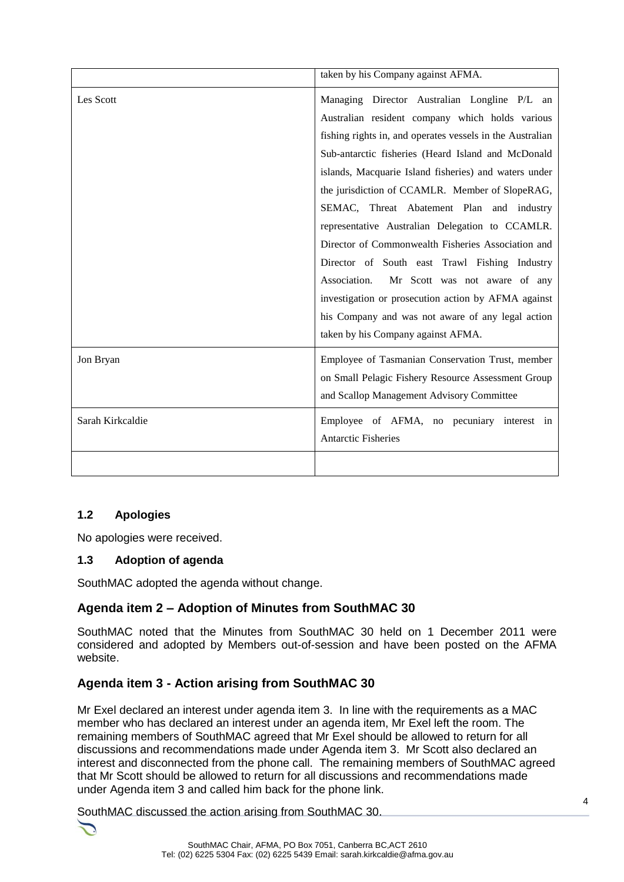|                  | taken by his Company against AFMA.                                                                                                                                                                                                                                                                                                                                                                                                                                                                                                                                                                                                                                                                                                       |
|------------------|------------------------------------------------------------------------------------------------------------------------------------------------------------------------------------------------------------------------------------------------------------------------------------------------------------------------------------------------------------------------------------------------------------------------------------------------------------------------------------------------------------------------------------------------------------------------------------------------------------------------------------------------------------------------------------------------------------------------------------------|
| Les Scott        | Managing Director Australian Longline P/L an<br>Australian resident company which holds various<br>fishing rights in, and operates vessels in the Australian<br>Sub-antarctic fisheries (Heard Island and McDonald<br>islands, Macquarie Island fisheries) and waters under<br>the jurisdiction of CCAMLR. Member of SlopeRAG,<br>SEMAC, Threat Abatement Plan and industry<br>representative Australian Delegation to CCAMLR.<br>Director of Commonwealth Fisheries Association and<br>Director of South east Trawl Fishing Industry<br>Association.<br>Mr Scott was not aware of any<br>investigation or prosecution action by AFMA against<br>his Company and was not aware of any legal action<br>taken by his Company against AFMA. |
| Jon Bryan        | Employee of Tasmanian Conservation Trust, member<br>on Small Pelagic Fishery Resource Assessment Group<br>and Scallop Management Advisory Committee                                                                                                                                                                                                                                                                                                                                                                                                                                                                                                                                                                                      |
| Sarah Kirkcaldie | Employee of AFMA, no pecuniary interest in<br><b>Antarctic Fisheries</b>                                                                                                                                                                                                                                                                                                                                                                                                                                                                                                                                                                                                                                                                 |
|                  |                                                                                                                                                                                                                                                                                                                                                                                                                                                                                                                                                                                                                                                                                                                                          |

#### **1.2 Apologies**

No apologies were received.

#### **1.3 Adoption of agenda**

SouthMAC adopted the agenda without change.

#### **Agenda item 2 – Adoption of Minutes from SouthMAC 30**

SouthMAC noted that the Minutes from SouthMAC 30 held on 1 December 2011 were considered and adopted by Members out-of-session and have been posted on the AFMA website.

# **Agenda item 3 - Action arising from SouthMAC 30**

Mr Exel declared an interest under agenda item 3. In line with the requirements as a MAC member who has declared an interest under an agenda item, Mr Exel left the room. The remaining members of SouthMAC agreed that Mr Exel should be allowed to return for all discussions and recommendations made under Agenda item 3. Mr Scott also declared an interest and disconnected from the phone call. The remaining members of SouthMAC agreed that Mr Scott should be allowed to return for all discussions and recommendations made under Agenda item 3 and called him back for the phone link.

SouthMAC discussed the action arising from SouthMAC 30.

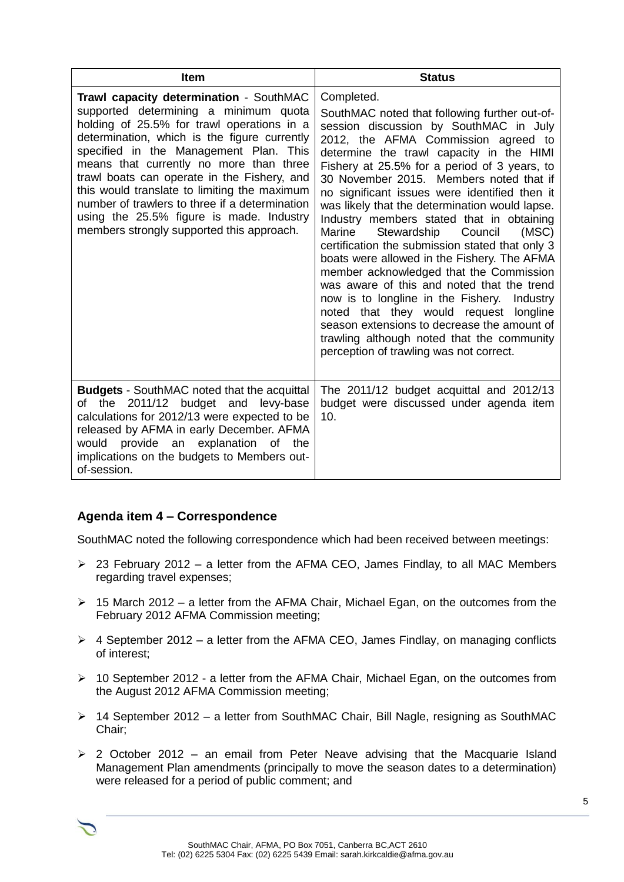| <b>Item</b>                                                                                                                                                                                                                                                                                                                                                                                                                                                                                                   | <b>Status</b>                                                                                                                                                                                                                                                                                                                                                                                                                                                                                                                                                                                                                                                                                                                                                                                                                                                                                                      |
|---------------------------------------------------------------------------------------------------------------------------------------------------------------------------------------------------------------------------------------------------------------------------------------------------------------------------------------------------------------------------------------------------------------------------------------------------------------------------------------------------------------|--------------------------------------------------------------------------------------------------------------------------------------------------------------------------------------------------------------------------------------------------------------------------------------------------------------------------------------------------------------------------------------------------------------------------------------------------------------------------------------------------------------------------------------------------------------------------------------------------------------------------------------------------------------------------------------------------------------------------------------------------------------------------------------------------------------------------------------------------------------------------------------------------------------------|
| Trawl capacity determination - SouthMAC<br>supported determining a minimum quota<br>holding of 25.5% for trawl operations in a<br>determination, which is the figure currently<br>specified in the Management Plan. This<br>means that currently no more than three<br>trawl boats can operate in the Fishery, and<br>this would translate to limiting the maximum<br>number of trawlers to three if a determination<br>using the 25.5% figure is made. Industry<br>members strongly supported this approach. | Completed.<br>SouthMAC noted that following further out-of-<br>session discussion by SouthMAC in July<br>2012, the AFMA Commission agreed to<br>determine the trawl capacity in the HIMI<br>Fishery at 25.5% for a period of 3 years, to<br>30 November 2015. Members noted that if<br>no significant issues were identified then it<br>was likely that the determination would lapse.<br>Industry members stated that in obtaining<br>Council<br>Marine<br>Stewardship<br>(MSC)<br>certification the submission stated that only 3<br>boats were allowed in the Fishery. The AFMA<br>member acknowledged that the Commission<br>was aware of this and noted that the trend<br>now is to longline in the Fishery.<br>Industry<br>noted that they would request<br>longline<br>season extensions to decrease the amount of<br>trawling although noted that the community<br>perception of trawling was not correct. |
| <b>Budgets</b> - SouthMAC noted that the acquittal<br>of the 2011/12 budget and levy-base<br>calculations for 2012/13 were expected to be<br>released by AFMA in early December. AFMA<br>would provide an explanation of the<br>implications on the budgets to Members out-<br>of-session.                                                                                                                                                                                                                    | The 2011/12 budget acquittal and 2012/13<br>budget were discussed under agenda item<br>10.                                                                                                                                                                                                                                                                                                                                                                                                                                                                                                                                                                                                                                                                                                                                                                                                                         |

#### **Agenda item 4 – Correspondence**

SouthMAC noted the following correspondence which had been received between meetings:

- $\geq$  23 February 2012 a letter from the AFMA CEO, James Findlay, to all MAC Members regarding travel expenses;
- $\geq$  15 March 2012 a letter from the AFMA Chair, Michael Egan, on the outcomes from the February 2012 AFMA Commission meeting;
- $\triangleright$  4 September 2012 a letter from the AFMA CEO, James Findlay, on managing conflicts of interest;
- $\geq 10$  September 2012 a letter from the AFMA Chair, Michael Egan, on the outcomes from the August 2012 AFMA Commission meeting;
- 14 September 2012 a letter from SouthMAC Chair, Bill Nagle, resigning as SouthMAC Chair;
- $\geq$  2 October 2012 an email from Peter Neave advising that the Macquarie Island Management Plan amendments (principally to move the season dates to a determination) were released for a period of public comment; and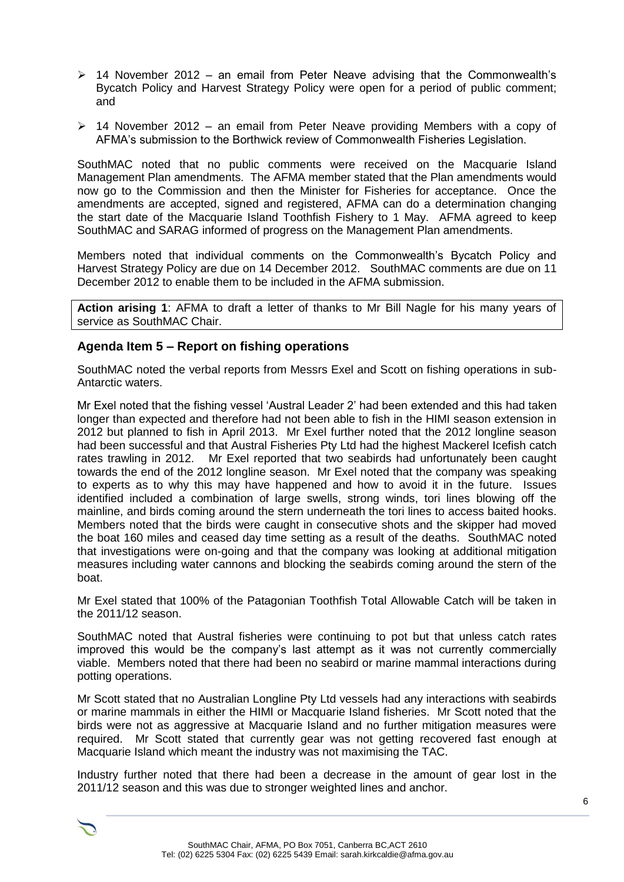- $\geq$  14 November 2012 an email from Peter Neave advising that the Commonwealth's Bycatch Policy and Harvest Strategy Policy were open for a period of public comment; and
- $\geq$  14 November 2012 an email from Peter Neave providing Members with a copy of AFMA's submission to the Borthwick review of Commonwealth Fisheries Legislation.

SouthMAC noted that no public comments were received on the Macquarie Island Management Plan amendments. The AFMA member stated that the Plan amendments would now go to the Commission and then the Minister for Fisheries for acceptance. Once the amendments are accepted, signed and registered, AFMA can do a determination changing the start date of the Macquarie Island Toothfish Fishery to 1 May. AFMA agreed to keep SouthMAC and SARAG informed of progress on the Management Plan amendments.

Members noted that individual comments on the Commonwealth's Bycatch Policy and Harvest Strategy Policy are due on 14 December 2012. SouthMAC comments are due on 11 December 2012 to enable them to be included in the AFMA submission.

**Action arising 1**: AFMA to draft a letter of thanks to Mr Bill Nagle for his many years of service as SouthMAC Chair.

#### **Agenda Item 5 – Report on fishing operations**

SouthMAC noted the verbal reports from Messrs Exel and Scott on fishing operations in sub-Antarctic waters.

Mr Exel noted that the fishing vessel 'Austral Leader 2' had been extended and this had taken longer than expected and therefore had not been able to fish in the HIMI season extension in 2012 but planned to fish in April 2013. Mr Exel further noted that the 2012 longline season had been successful and that Austral Fisheries Pty Ltd had the highest Mackerel Icefish catch rates trawling in 2012. Mr Exel reported that two seabirds had unfortunately been caught towards the end of the 2012 longline season. Mr Exel noted that the company was speaking to experts as to why this may have happened and how to avoid it in the future. Issues identified included a combination of large swells, strong winds, tori lines blowing off the mainline, and birds coming around the stern underneath the tori lines to access baited hooks. Members noted that the birds were caught in consecutive shots and the skipper had moved the boat 160 miles and ceased day time setting as a result of the deaths. SouthMAC noted that investigations were on-going and that the company was looking at additional mitigation measures including water cannons and blocking the seabirds coming around the stern of the boat.

Mr Exel stated that 100% of the Patagonian Toothfish Total Allowable Catch will be taken in the 2011/12 season.

SouthMAC noted that Austral fisheries were continuing to pot but that unless catch rates improved this would be the company's last attempt as it was not currently commercially viable. Members noted that there had been no seabird or marine mammal interactions during potting operations.

Mr Scott stated that no Australian Longline Pty Ltd vessels had any interactions with seabirds or marine mammals in either the HIMI or Macquarie Island fisheries. Mr Scott noted that the birds were not as aggressive at Macquarie Island and no further mitigation measures were required. Mr Scott stated that currently gear was not getting recovered fast enough at Macquarie Island which meant the industry was not maximising the TAC.

Industry further noted that there had been a decrease in the amount of gear lost in the 2011/12 season and this was due to stronger weighted lines and anchor.

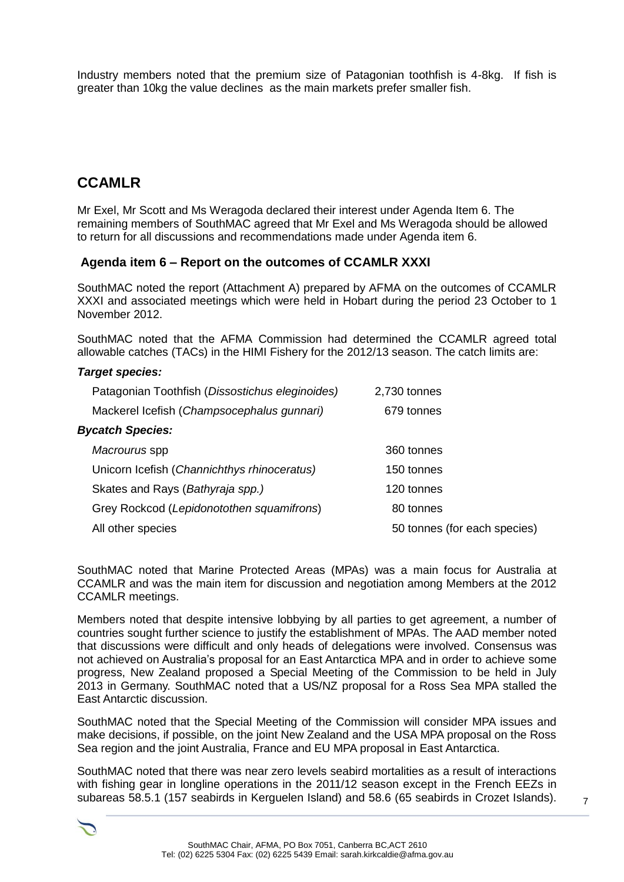Industry members noted that the premium size of Patagonian toothfish is 4-8kg. If fish is greater than 10kg the value declines as the main markets prefer smaller fish.

# **CCAMLR**

Mr Exel, Mr Scott and Ms Weragoda declared their interest under Agenda Item 6. The remaining members of SouthMAC agreed that Mr Exel and Ms Weragoda should be allowed to return for all discussions and recommendations made under Agenda item 6.

#### **Agenda item 6 – Report on the outcomes of CCAMLR XXXI**

SouthMAC noted the report (Attachment A) prepared by AFMA on the outcomes of CCAMLR XXXI and associated meetings which were held in Hobart during the period 23 October to 1 November 2012.

SouthMAC noted that the AFMA Commission had determined the CCAMLR agreed total allowable catches (TACs) in the HIMI Fishery for the 2012/13 season. The catch limits are:

#### *Target species:*

| 2,730 tonnes |                              |
|--------------|------------------------------|
| 679 tonnes   |                              |
|              |                              |
| 360 tonnes   |                              |
| 150 tonnes   |                              |
| 120 tonnes   |                              |
| 80 tonnes    |                              |
|              |                              |
|              | 50 tonnes (for each species) |

SouthMAC noted that Marine Protected Areas (MPAs) was a main focus for Australia at CCAMLR and was the main item for discussion and negotiation among Members at the 2012 CCAMLR meetings.

Members noted that despite intensive lobbying by all parties to get agreement, a number of countries sought further science to justify the establishment of MPAs. The AAD member noted that discussions were difficult and only heads of delegations were involved. Consensus was not achieved on Australia's proposal for an East Antarctica MPA and in order to achieve some progress, New Zealand proposed a Special Meeting of the Commission to be held in July 2013 in Germany. SouthMAC noted that a US/NZ proposal for a Ross Sea MPA stalled the East Antarctic discussion.

SouthMAC noted that the Special Meeting of the Commission will consider MPA issues and make decisions, if possible, on the joint New Zealand and the USA MPA proposal on the Ross Sea region and the joint Australia, France and EU MPA proposal in East Antarctica.

SouthMAC noted that there was near zero levels seabird mortalities as a result of interactions with fishing gear in longline operations in the 2011/12 season except in the French EEZs in subareas 58.5.1 (157 seabirds in Kerguelen Island) and 58.6 (65 seabirds in Crozet Islands).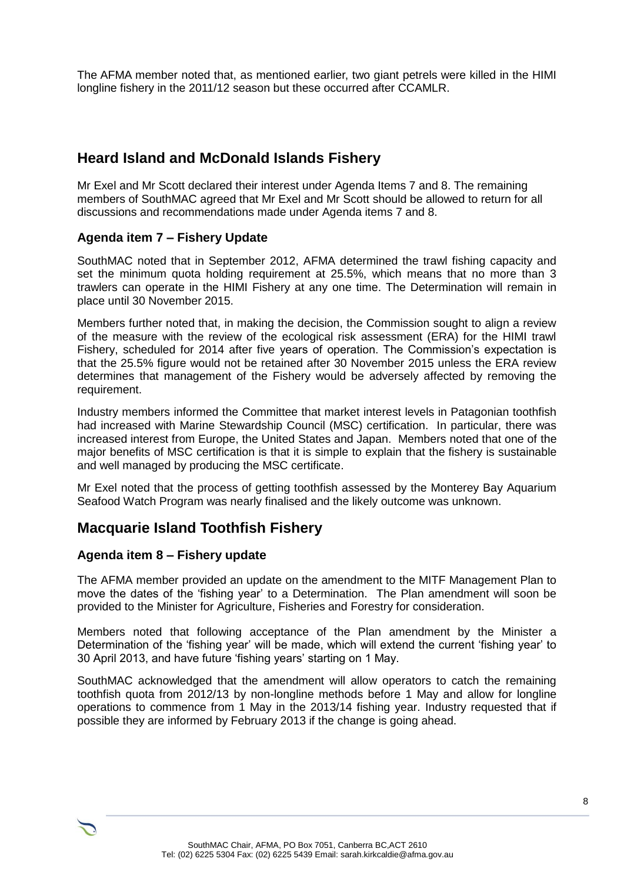The AFMA member noted that, as mentioned earlier, two giant petrels were killed in the HIMI longline fishery in the 2011/12 season but these occurred after CCAMLR.

# **Heard Island and McDonald Islands Fishery**

Mr Exel and Mr Scott declared their interest under Agenda Items 7 and 8. The remaining members of SouthMAC agreed that Mr Exel and Mr Scott should be allowed to return for all discussions and recommendations made under Agenda items 7 and 8.

#### **Agenda item 7 – Fishery Update**

SouthMAC noted that in September 2012, AFMA determined the trawl fishing capacity and set the minimum quota holding requirement at 25.5%, which means that no more than 3 trawlers can operate in the HIMI Fishery at any one time. The Determination will remain in place until 30 November 2015.

Members further noted that, in making the decision, the Commission sought to align a review of the measure with the review of the ecological risk assessment (ERA) for the HIMI trawl Fishery, scheduled for 2014 after five years of operation. The Commission's expectation is that the 25.5% figure would not be retained after 30 November 2015 unless the ERA review determines that management of the Fishery would be adversely affected by removing the requirement.

Industry members informed the Committee that market interest levels in Patagonian toothfish had increased with Marine Stewardship Council (MSC) certification. In particular, there was increased interest from Europe, the United States and Japan. Members noted that one of the major benefits of MSC certification is that it is simple to explain that the fishery is sustainable and well managed by producing the MSC certificate.

Mr Exel noted that the process of getting toothfish assessed by the Monterey Bay Aquarium Seafood Watch Program was nearly finalised and the likely outcome was unknown.

# **Macquarie Island Toothfish Fishery**

#### **Agenda item 8 – Fishery update**

The AFMA member provided an update on the amendment to the MITF Management Plan to move the dates of the 'fishing year' to a Determination. The Plan amendment will soon be provided to the Minister for Agriculture, Fisheries and Forestry for consideration.

Members noted that following acceptance of the Plan amendment by the Minister a Determination of the 'fishing year' will be made, which will extend the current 'fishing year' to 30 April 2013, and have future 'fishing years' starting on 1 May.

SouthMAC acknowledged that the amendment will allow operators to catch the remaining toothfish quota from 2012/13 by non-longline methods before 1 May and allow for longline operations to commence from 1 May in the 2013/14 fishing year. Industry requested that if possible they are informed by February 2013 if the change is going ahead.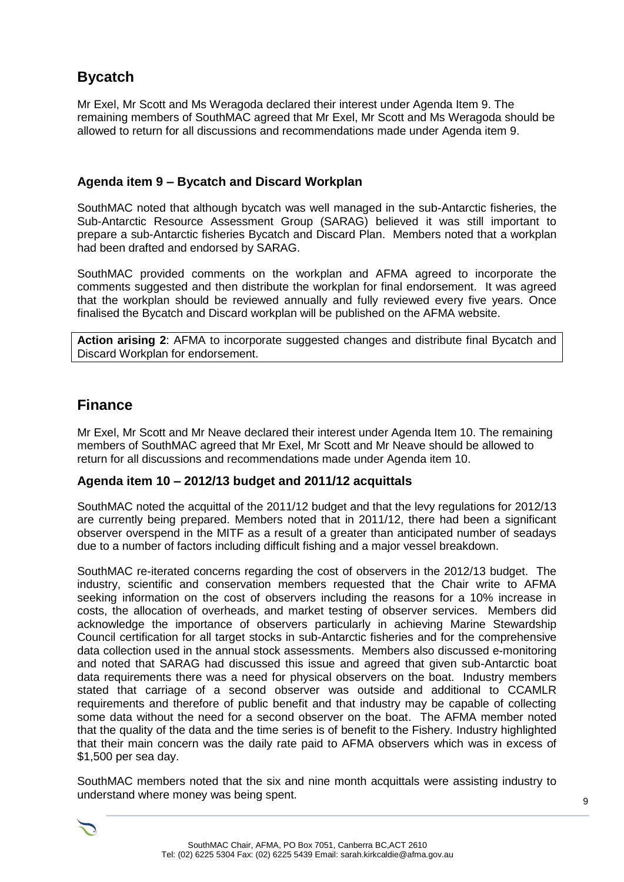# **Bycatch**

Mr Exel, Mr Scott and Ms Weragoda declared their interest under Agenda Item 9. The remaining members of SouthMAC agreed that Mr Exel, Mr Scott and Ms Weragoda should be allowed to return for all discussions and recommendations made under Agenda item 9.

#### **Agenda item 9 – Bycatch and Discard Workplan**

SouthMAC noted that although bycatch was well managed in the sub-Antarctic fisheries, the Sub-Antarctic Resource Assessment Group (SARAG) believed it was still important to prepare a sub-Antarctic fisheries Bycatch and Discard Plan. Members noted that a workplan had been drafted and endorsed by SARAG.

SouthMAC provided comments on the workplan and AFMA agreed to incorporate the comments suggested and then distribute the workplan for final endorsement. It was agreed that the workplan should be reviewed annually and fully reviewed every five years. Once finalised the Bycatch and Discard workplan will be published on the AFMA website.

**Action arising 2**: AFMA to incorporate suggested changes and distribute final Bycatch and Discard Workplan for endorsement.

# **Finance**

Mr Exel, Mr Scott and Mr Neave declared their interest under Agenda Item 10. The remaining members of SouthMAC agreed that Mr Exel, Mr Scott and Mr Neave should be allowed to return for all discussions and recommendations made under Agenda item 10.

#### **Agenda item 10 – 2012/13 budget and 2011/12 acquittals**

SouthMAC noted the acquittal of the 2011/12 budget and that the levy regulations for 2012/13 are currently being prepared. Members noted that in 2011/12, there had been a significant observer overspend in the MITF as a result of a greater than anticipated number of seadays due to a number of factors including difficult fishing and a major vessel breakdown.

SouthMAC re-iterated concerns regarding the cost of observers in the 2012/13 budget. The industry, scientific and conservation members requested that the Chair write to AFMA seeking information on the cost of observers including the reasons for a 10% increase in costs, the allocation of overheads, and market testing of observer services. Members did acknowledge the importance of observers particularly in achieving Marine Stewardship Council certification for all target stocks in sub-Antarctic fisheries and for the comprehensive data collection used in the annual stock assessments. Members also discussed e-monitoring and noted that SARAG had discussed this issue and agreed that given sub-Antarctic boat data requirements there was a need for physical observers on the boat. Industry members stated that carriage of a second observer was outside and additional to CCAMLR requirements and therefore of public benefit and that industry may be capable of collecting some data without the need for a second observer on the boat. The AFMA member noted that the quality of the data and the time series is of benefit to the Fishery. Industry highlighted that their main concern was the daily rate paid to AFMA observers which was in excess of \$1,500 per sea day.

SouthMAC members noted that the six and nine month acquittals were assisting industry to understand where money was being spent.

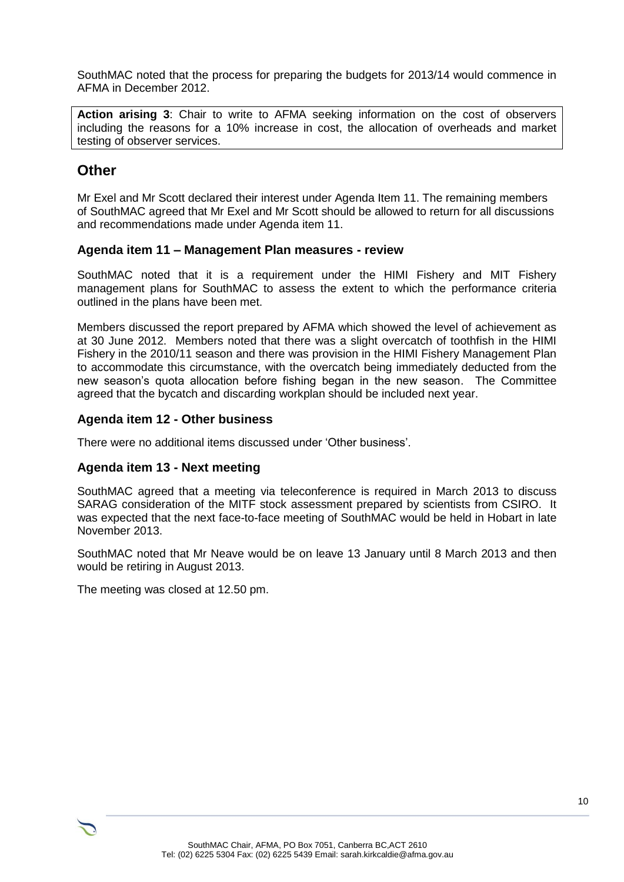SouthMAC noted that the process for preparing the budgets for 2013/14 would commence in AFMA in December 2012.

**Action arising 3**: Chair to write to AFMA seeking information on the cost of observers including the reasons for a 10% increase in cost, the allocation of overheads and market testing of observer services.

## **Other**

Mr Exel and Mr Scott declared their interest under Agenda Item 11. The remaining members of SouthMAC agreed that Mr Exel and Mr Scott should be allowed to return for all discussions and recommendations made under Agenda item 11.

#### **Agenda item 11 – Management Plan measures - review**

SouthMAC noted that it is a requirement under the HIMI Fishery and MIT Fishery management plans for SouthMAC to assess the extent to which the performance criteria outlined in the plans have been met.

Members discussed the report prepared by AFMA which showed the level of achievement as at 30 June 2012. Members noted that there was a slight overcatch of toothfish in the HIMI Fishery in the 2010/11 season and there was provision in the HIMI Fishery Management Plan to accommodate this circumstance, with the overcatch being immediately deducted from the new season's quota allocation before fishing began in the new season. The Committee agreed that the bycatch and discarding workplan should be included next year.

#### **Agenda item 12 - Other business**

There were no additional items discussed under 'Other business'.

#### **Agenda item 13 - Next meeting**

SouthMAC agreed that a meeting via teleconference is required in March 2013 to discuss SARAG consideration of the MITF stock assessment prepared by scientists from CSIRO. It was expected that the next face-to-face meeting of SouthMAC would be held in Hobart in late November 2013.

SouthMAC noted that Mr Neave would be on leave 13 January until 8 March 2013 and then would be retiring in August 2013.

The meeting was closed at 12.50 pm.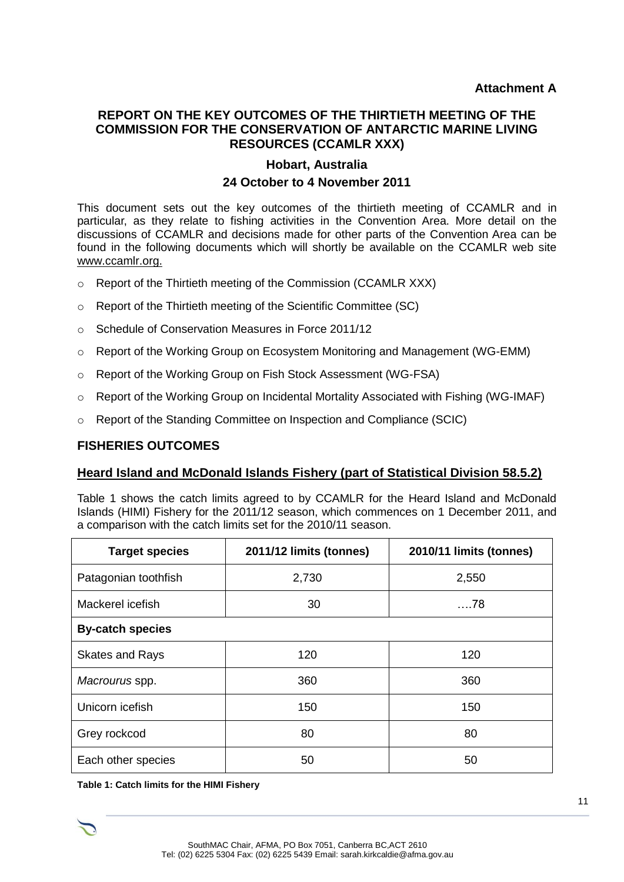#### **REPORT ON THE KEY OUTCOMES OF THE THIRTIETH MEETING OF THE COMMISSION FOR THE CONSERVATION OF ANTARCTIC MARINE LIVING RESOURCES (CCAMLR XXX)**

# **Hobart, Australia 24 October to 4 November 2011**

This document sets out the key outcomes of the thirtieth meeting of CCAMLR and in particular, as they relate to fishing activities in the Convention Area. More detail on the discussions of CCAMLR and decisions made for other parts of the Convention Area can be found in the following documents which will shortly be available on the CCAMLR web site www.ccamlr.org.

- o Report of the Thirtieth meeting of the Commission (CCAMLR XXX)
- o Report of the Thirtieth meeting of the Scientific Committee (SC)
- o Schedule of Conservation Measures in Force 2011/12
- o Report of the Working Group on Ecosystem Monitoring and Management (WG-EMM)
- o Report of the Working Group on Fish Stock Assessment (WG-FSA)
- $\circ$  Report of the Working Group on Incidental Mortality Associated with Fishing (WG-IMAF)
- o Report of the Standing Committee on Inspection and Compliance (SCIC)

#### **FISHERIES OUTCOMES**

#### **Heard Island and McDonald Islands Fishery (part of Statistical Division 58.5.2)**

Table 1 shows the catch limits agreed to by CCAMLR for the Heard Island and McDonald Islands (HIMI) Fishery for the 2011/12 season, which commences on 1 December 2011, and a comparison with the catch limits set for the 2010/11 season.

| <b>Target species</b>   | 2011/12 limits (tonnes) | 2010/11 limits (tonnes) |
|-------------------------|-------------------------|-------------------------|
| Patagonian toothfish    | 2,730                   | 2,550                   |
| Mackerel icefish        | 30                      | . 78                    |
| <b>By-catch species</b> |                         |                         |
| <b>Skates and Rays</b>  | 120                     | 120                     |
| Macrourus spp.          | 360                     | 360                     |
| Unicorn icefish         | 150                     | 150                     |
| Grey rockcod            | 80                      | 80                      |
| Each other species      | 50                      | 50                      |

**Table 1: Catch limits for the HIMI Fishery**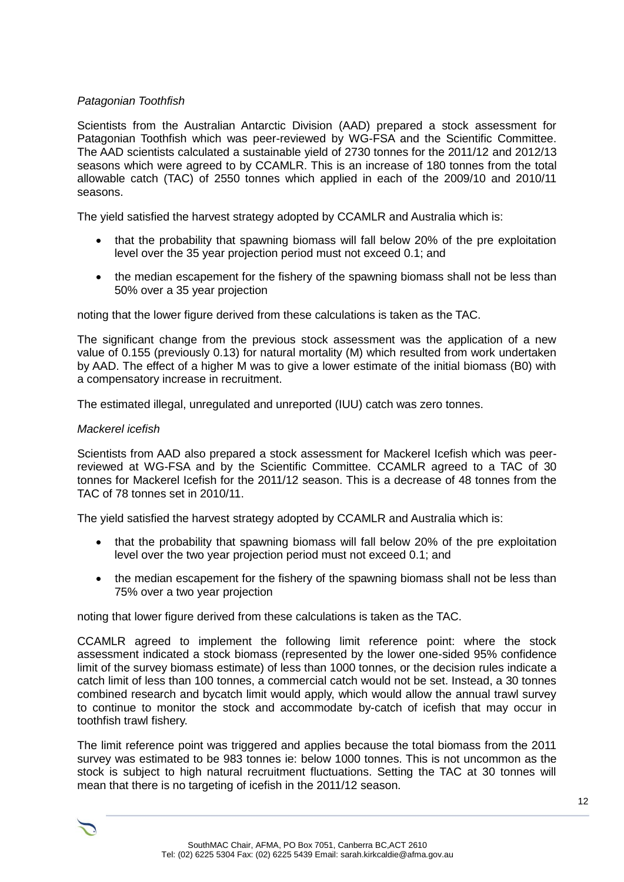#### *Patagonian Toothfish*

Scientists from the Australian Antarctic Division (AAD) prepared a stock assessment for Patagonian Toothfish which was peer-reviewed by WG-FSA and the Scientific Committee. The AAD scientists calculated a sustainable yield of 2730 tonnes for the 2011/12 and 2012/13 seasons which were agreed to by CCAMLR. This is an increase of 180 tonnes from the total allowable catch (TAC) of 2550 tonnes which applied in each of the 2009/10 and 2010/11 seasons.

The yield satisfied the harvest strategy adopted by CCAMLR and Australia which is:

- that the probability that spawning biomass will fall below 20% of the pre exploitation level over the 35 year projection period must not exceed 0.1; and
- the median escapement for the fishery of the spawning biomass shall not be less than 50% over a 35 year projection

noting that the lower figure derived from these calculations is taken as the TAC.

The significant change from the previous stock assessment was the application of a new value of 0.155 (previously 0.13) for natural mortality (M) which resulted from work undertaken by AAD. The effect of a higher M was to give a lower estimate of the initial biomass (B0) with a compensatory increase in recruitment.

The estimated illegal, unregulated and unreported (IUU) catch was zero tonnes.

#### *Mackerel icefish*

Scientists from AAD also prepared a stock assessment for Mackerel Icefish which was peerreviewed at WG-FSA and by the Scientific Committee. CCAMLR agreed to a TAC of 30 tonnes for Mackerel Icefish for the 2011/12 season. This is a decrease of 48 tonnes from the TAC of 78 tonnes set in 2010/11.

The yield satisfied the harvest strategy adopted by CCAMLR and Australia which is:

- that the probability that spawning biomass will fall below 20% of the pre exploitation level over the two year projection period must not exceed 0.1; and
- the median escapement for the fishery of the spawning biomass shall not be less than 75% over a two year projection

noting that lower figure derived from these calculations is taken as the TAC.

CCAMLR agreed to implement the following limit reference point: where the stock assessment indicated a stock biomass (represented by the lower one-sided 95% confidence limit of the survey biomass estimate) of less than 1000 tonnes, or the decision rules indicate a catch limit of less than 100 tonnes, a commercial catch would not be set. Instead, a 30 tonnes combined research and bycatch limit would apply, which would allow the annual trawl survey to continue to monitor the stock and accommodate by-catch of icefish that may occur in toothfish trawl fishery.

The limit reference point was triggered and applies because the total biomass from the 2011 survey was estimated to be 983 tonnes ie: below 1000 tonnes. This is not uncommon as the stock is subject to high natural recruitment fluctuations. Setting the TAC at 30 tonnes will mean that there is no targeting of icefish in the 2011/12 season.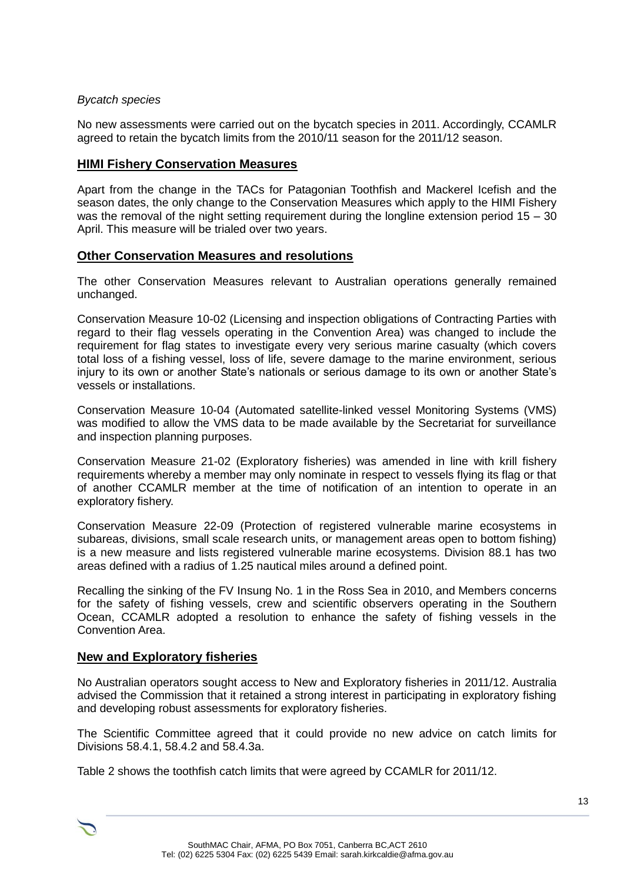#### *Bycatch species*

No new assessments were carried out on the bycatch species in 2011. Accordingly, CCAMLR agreed to retain the bycatch limits from the 2010/11 season for the 2011/12 season.

#### **HIMI Fishery Conservation Measures**

Apart from the change in the TACs for Patagonian Toothfish and Mackerel Icefish and the season dates, the only change to the Conservation Measures which apply to the HIMI Fishery was the removal of the night setting requirement during the longline extension period  $15 - 30$ April. This measure will be trialed over two years.

#### **Other Conservation Measures and resolutions**

The other Conservation Measures relevant to Australian operations generally remained unchanged.

Conservation Measure 10-02 (Licensing and inspection obligations of Contracting Parties with regard to their flag vessels operating in the Convention Area) was changed to include the requirement for flag states to investigate every very serious marine casualty (which covers total loss of a fishing vessel, loss of life, severe damage to the marine environment, serious injury to its own or another State's nationals or serious damage to its own or another State's vessels or installations.

Conservation Measure 10-04 (Automated satellite-linked vessel Monitoring Systems (VMS) was modified to allow the VMS data to be made available by the Secretariat for surveillance and inspection planning purposes.

Conservation Measure 21-02 (Exploratory fisheries) was amended in line with krill fishery requirements whereby a member may only nominate in respect to vessels flying its flag or that of another CCAMLR member at the time of notification of an intention to operate in an exploratory fishery.

Conservation Measure 22-09 (Protection of registered vulnerable marine ecosystems in subareas, divisions, small scale research units, or management areas open to bottom fishing) is a new measure and lists registered vulnerable marine ecosystems. Division 88.1 has two areas defined with a radius of 1.25 nautical miles around a defined point.

Recalling the sinking of the FV Insung No. 1 in the Ross Sea in 2010, and Members concerns for the safety of fishing vessels, crew and scientific observers operating in the Southern Ocean, CCAMLR adopted a resolution to enhance the safety of fishing vessels in the Convention Area.

#### **New and Exploratory fisheries**

No Australian operators sought access to New and Exploratory fisheries in 2011/12. Australia advised the Commission that it retained a strong interest in participating in exploratory fishing and developing robust assessments for exploratory fisheries.

The Scientific Committee agreed that it could provide no new advice on catch limits for Divisions 58.4.1, 58.4.2 and 58.4.3a.

Table 2 shows the toothfish catch limits that were agreed by CCAMLR for 2011/12.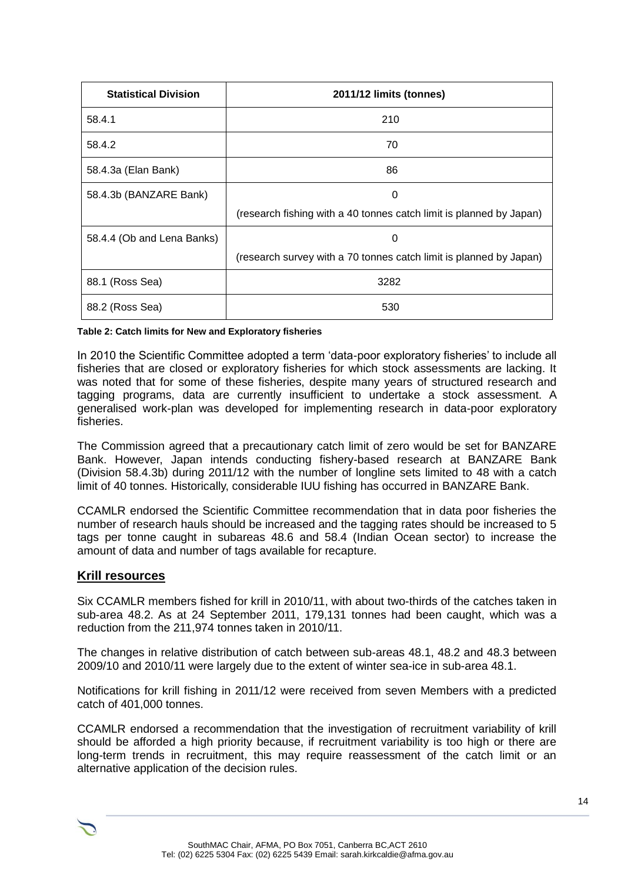| <b>Statistical Division</b> | 2011/12 limits (tonnes)                                             |
|-----------------------------|---------------------------------------------------------------------|
| 58.4.1                      | 210                                                                 |
| 58.4.2                      | 70                                                                  |
| 58.4.3a (Elan Bank)         | 86                                                                  |
| 58.4.3b (BANZARE Bank)      | 0                                                                   |
|                             | (research fishing with a 40 tonnes catch limit is planned by Japan) |
| 58.4.4 (Ob and Lena Banks)  | 0                                                                   |
|                             | (research survey with a 70 tonnes catch limit is planned by Japan)  |
| 88.1 (Ross Sea)             | 3282                                                                |
| 88.2 (Ross Sea)             | 530                                                                 |

**Table 2: Catch limits for New and Exploratory fisheries**

In 2010 the Scientific Committee adopted a term 'data-poor exploratory fisheries' to include all fisheries that are closed or exploratory fisheries for which stock assessments are lacking. It was noted that for some of these fisheries, despite many years of structured research and tagging programs, data are currently insufficient to undertake a stock assessment. A generalised work-plan was developed for implementing research in data-poor exploratory fisheries.

The Commission agreed that a precautionary catch limit of zero would be set for BANZARE Bank. However, Japan intends conducting fishery-based research at BANZARE Bank (Division 58.4.3b) during 2011/12 with the number of longline sets limited to 48 with a catch limit of 40 tonnes. Historically, considerable IUU fishing has occurred in BANZARE Bank.

CCAMLR endorsed the Scientific Committee recommendation that in data poor fisheries the number of research hauls should be increased and the tagging rates should be increased to 5 tags per tonne caught in subareas 48.6 and 58.4 (Indian Ocean sector) to increase the amount of data and number of tags available for recapture.

#### **Krill resources**

Six CCAMLR members fished for krill in 2010/11, with about two-thirds of the catches taken in sub-area 48.2. As at 24 September 2011, 179,131 tonnes had been caught, which was a reduction from the 211,974 tonnes taken in 2010/11.

The changes in relative distribution of catch between sub-areas 48.1, 48.2 and 48.3 between 2009/10 and 2010/11 were largely due to the extent of winter sea-ice in sub-area 48.1.

Notifications for krill fishing in 2011/12 were received from seven Members with a predicted catch of 401,000 tonnes.

CCAMLR endorsed a recommendation that the investigation of recruitment variability of krill should be afforded a high priority because, if recruitment variability is too high or there are long-term trends in recruitment, this may require reassessment of the catch limit or an alternative application of the decision rules.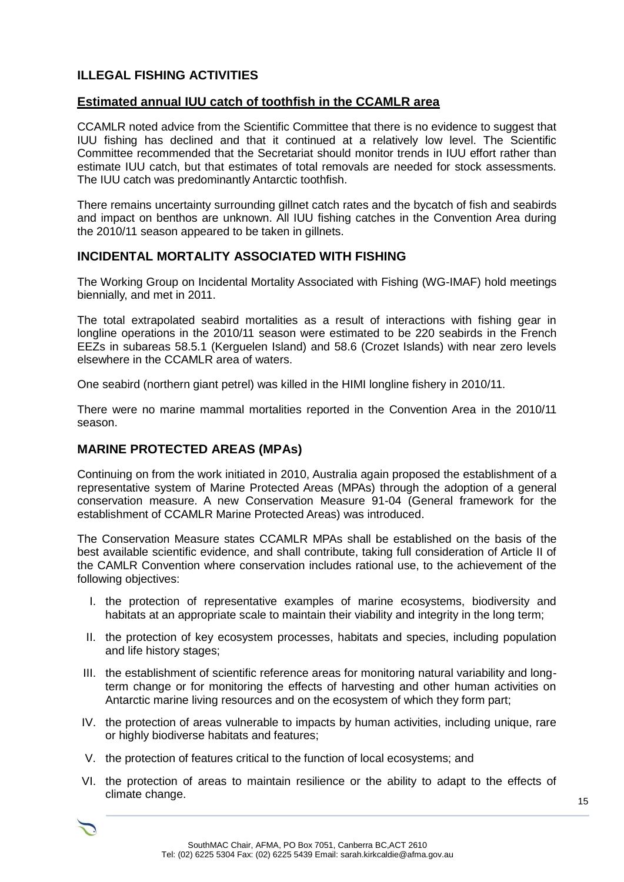## **ILLEGAL FISHING ACTIVITIES**

#### **Estimated annual IUU catch of toothfish in the CCAMLR area**

CCAMLR noted advice from the Scientific Committee that there is no evidence to suggest that IUU fishing has declined and that it continued at a relatively low level. The Scientific Committee recommended that the Secretariat should monitor trends in IUU effort rather than estimate IUU catch, but that estimates of total removals are needed for stock assessments. The IUU catch was predominantly Antarctic toothfish.

There remains uncertainty surrounding gillnet catch rates and the bycatch of fish and seabirds and impact on benthos are unknown. All IUU fishing catches in the Convention Area during the 2010/11 season appeared to be taken in gillnets.

#### **INCIDENTAL MORTALITY ASSOCIATED WITH FISHING**

The Working Group on Incidental Mortality Associated with Fishing (WG-IMAF) hold meetings biennially, and met in 2011.

The total extrapolated seabird mortalities as a result of interactions with fishing gear in longline operations in the 2010/11 season were estimated to be 220 seabirds in the French EEZs in subareas 58.5.1 (Kerguelen Island) and 58.6 (Crozet Islands) with near zero levels elsewhere in the CCAMLR area of waters.

One seabird (northern giant petrel) was killed in the HIMI longline fishery in 2010/11.

There were no marine mammal mortalities reported in the Convention Area in the 2010/11 season.

#### **MARINE PROTECTED AREAS (MPAs)**

Continuing on from the work initiated in 2010, Australia again proposed the establishment of a representative system of Marine Protected Areas (MPAs) through the adoption of a general conservation measure. A new Conservation Measure 91-04 (General framework for the establishment of CCAMLR Marine Protected Areas) was introduced.

The Conservation Measure states CCAMLR MPAs shall be established on the basis of the best available scientific evidence, and shall contribute, taking full consideration of Article II of the CAMLR Convention where conservation includes rational use, to the achievement of the following objectives:

- I. the protection of representative examples of marine ecosystems, biodiversity and habitats at an appropriate scale to maintain their viability and integrity in the long term;
- II. the protection of key ecosystem processes, habitats and species, including population and life history stages;
- III. the establishment of scientific reference areas for monitoring natural variability and longterm change or for monitoring the effects of harvesting and other human activities on Antarctic marine living resources and on the ecosystem of which they form part;
- IV. the protection of areas vulnerable to impacts by human activities, including unique, rare or highly biodiverse habitats and features;
- V. the protection of features critical to the function of local ecosystems; and
- VI. the protection of areas to maintain resilience or the ability to adapt to the effects of climate change.

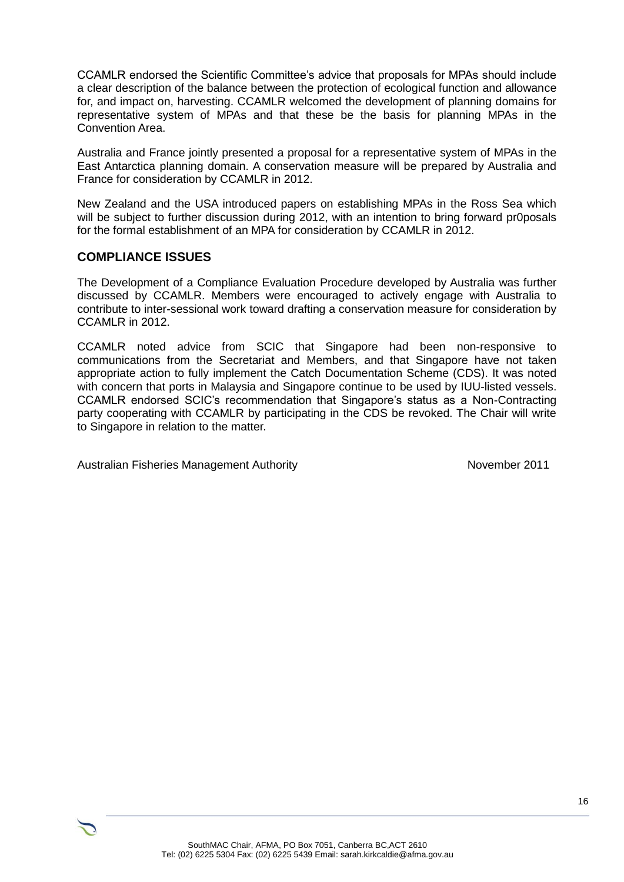CCAMLR endorsed the Scientific Committee's advice that proposals for MPAs should include a clear description of the balance between the protection of ecological function and allowance for, and impact on, harvesting. CCAMLR welcomed the development of planning domains for representative system of MPAs and that these be the basis for planning MPAs in the Convention Area.

Australia and France jointly presented a proposal for a representative system of MPAs in the East Antarctica planning domain. A conservation measure will be prepared by Australia and France for consideration by CCAMLR in 2012.

New Zealand and the USA introduced papers on establishing MPAs in the Ross Sea which will be subject to further discussion during 2012, with an intention to bring forward pr0posals for the formal establishment of an MPA for consideration by CCAMLR in 2012.

#### **COMPLIANCE ISSUES**

The Development of a Compliance Evaluation Procedure developed by Australia was further discussed by CCAMLR. Members were encouraged to actively engage with Australia to contribute to inter-sessional work toward drafting a conservation measure for consideration by CCAMLR in 2012.

CCAMLR noted advice from SCIC that Singapore had been non-responsive to communications from the Secretariat and Members, and that Singapore have not taken appropriate action to fully implement the Catch Documentation Scheme (CDS). It was noted with concern that ports in Malaysia and Singapore continue to be used by IUU-listed vessels. CCAMLR endorsed SCIC's recommendation that Singapore's status as a Non-Contracting party cooperating with CCAMLR by participating in the CDS be revoked. The Chair will write to Singapore in relation to the matter.

Australian Fisheries Management Authority November 2011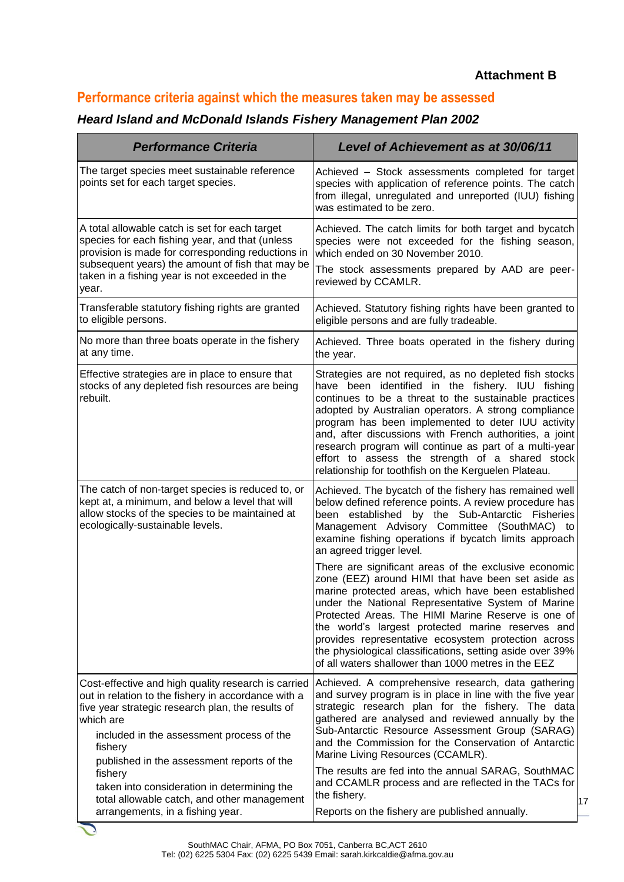#### **Attachment B**

# **Performance criteria against which the measures taken may be assessed**

#### *Heard Island and McDonald Islands Fishery Management Plan 2002*

| <b>Performance Criteria</b>                                                                                                                                                                                                                                                        | Level of Achievement as at 30/06/11                                                                                                                                                                                                                                                                                                                                                                                                                                                                                |
|------------------------------------------------------------------------------------------------------------------------------------------------------------------------------------------------------------------------------------------------------------------------------------|--------------------------------------------------------------------------------------------------------------------------------------------------------------------------------------------------------------------------------------------------------------------------------------------------------------------------------------------------------------------------------------------------------------------------------------------------------------------------------------------------------------------|
| The target species meet sustainable reference<br>points set for each target species.                                                                                                                                                                                               | Achieved - Stock assessments completed for target<br>species with application of reference points. The catch<br>from illegal, unregulated and unreported (IUU) fishing<br>was estimated to be zero.                                                                                                                                                                                                                                                                                                                |
| A total allowable catch is set for each target<br>species for each fishing year, and that (unless<br>provision is made for corresponding reductions in<br>subsequent years) the amount of fish that may be<br>taken in a fishing year is not exceeded in the<br>year.              | Achieved. The catch limits for both target and bycatch<br>species were not exceeded for the fishing season,<br>which ended on 30 November 2010.<br>The stock assessments prepared by AAD are peer-<br>reviewed by CCAMLR.                                                                                                                                                                                                                                                                                          |
| Transferable statutory fishing rights are granted<br>to eligible persons.                                                                                                                                                                                                          | Achieved. Statutory fishing rights have been granted to<br>eligible persons and are fully tradeable.                                                                                                                                                                                                                                                                                                                                                                                                               |
| No more than three boats operate in the fishery<br>at any time.                                                                                                                                                                                                                    | Achieved. Three boats operated in the fishery during<br>the year.                                                                                                                                                                                                                                                                                                                                                                                                                                                  |
| Effective strategies are in place to ensure that<br>stocks of any depleted fish resources are being<br>rebuilt.                                                                                                                                                                    | Strategies are not required, as no depleted fish stocks<br>have been identified in the fishery. IUU fishing<br>continues to be a threat to the sustainable practices<br>adopted by Australian operators. A strong compliance<br>program has been implemented to deter IUU activity<br>and, after discussions with French authorities, a joint<br>research program will continue as part of a multi-year<br>effort to assess the strength of a shared stock<br>relationship for toothfish on the Kerguelen Plateau. |
| The catch of non-target species is reduced to, or<br>kept at, a minimum, and below a level that will<br>allow stocks of the species to be maintained at<br>ecologically-sustainable levels.                                                                                        | Achieved. The bycatch of the fishery has remained well<br>below defined reference points. A review procedure has<br>been established by the Sub-Antarctic Fisheries<br>Management Advisory Committee (SouthMAC) to<br>examine fishing operations if bycatch limits approach<br>an agreed trigger level.                                                                                                                                                                                                            |
|                                                                                                                                                                                                                                                                                    | There are significant areas of the exclusive economic<br>zone (EEZ) around HIMI that have been set aside as<br>marine protected areas, which have been established<br>under the National Representative System of Marine<br>Protected Areas. The HIMI Marine Reserve is one of<br>the world's largest protected marine reserves and<br>provides representative ecosystem protection across<br>the physiological classifications, setting aside over 39%<br>of all waters shallower than 1000 metres in the EEZ     |
| Cost-effective and high quality research is carried<br>out in relation to the fishery in accordance with a<br>five year strategic research plan, the results of<br>which are<br>included in the assessment process of the<br>fishery<br>published in the assessment reports of the | Achieved. A comprehensive research, data gathering<br>and survey program is in place in line with the five year<br>strategic research plan for the fishery. The data<br>gathered are analysed and reviewed annually by the<br>Sub-Antarctic Resource Assessment Group (SARAG)<br>and the Commission for the Conservation of Antarctic<br>Marine Living Resources (CCAMLR).                                                                                                                                         |
| fishery<br>taken into consideration in determining the<br>total allowable catch, and other management<br>arrangements, in a fishing year.                                                                                                                                          | The results are fed into the annual SARAG, SouthMAC<br>and CCAMLR process and are reflected in the TACs for<br>the fishery.<br>Reports on the fishery are published annually.                                                                                                                                                                                                                                                                                                                                      |

 $\blacktriangledown$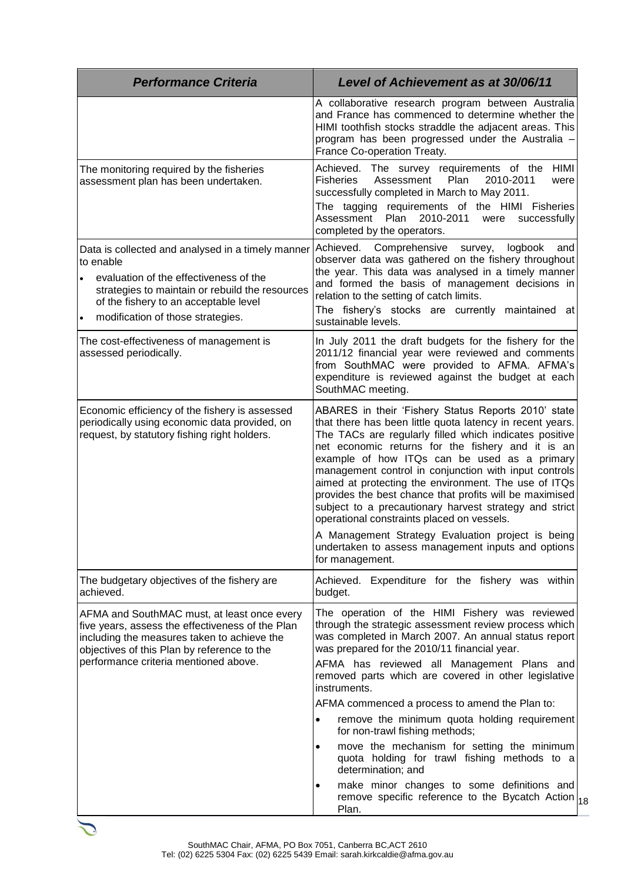| <b>Performance Criteria</b>                                                                                                                                                                                                                            | <b>Level of Achievement as at 30/06/11</b>                                                                                                                                                                                                                                                                                                                                                                                                                                                                                                                          |
|--------------------------------------------------------------------------------------------------------------------------------------------------------------------------------------------------------------------------------------------------------|---------------------------------------------------------------------------------------------------------------------------------------------------------------------------------------------------------------------------------------------------------------------------------------------------------------------------------------------------------------------------------------------------------------------------------------------------------------------------------------------------------------------------------------------------------------------|
|                                                                                                                                                                                                                                                        | A collaborative research program between Australia<br>and France has commenced to determine whether the<br>HIMI toothfish stocks straddle the adjacent areas. This<br>program has been progressed under the Australia -<br>France Co-operation Treaty.                                                                                                                                                                                                                                                                                                              |
| The monitoring required by the fisheries<br>assessment plan has been undertaken.                                                                                                                                                                       | Achieved. The survey requirements of the HIMI<br><b>Fisheries</b><br>Assessment<br>Plan<br>2010-2011<br>were<br>successfully completed in March to May 2011.<br>The tagging requirements of the HIMI Fisheries<br>2010-2011<br>Assessment Plan<br>successfully<br>were                                                                                                                                                                                                                                                                                              |
| Data is collected and analysed in a timely manner<br>to enable<br>evaluation of the effectiveness of the<br>strategies to maintain or rebuild the resources<br>of the fishery to an acceptable level<br>modification of those strategies.<br>$\bullet$ | completed by the operators.<br>Achieved. Comprehensive<br>survey,<br>logbook<br>and<br>observer data was gathered on the fishery throughout<br>the year. This data was analysed in a timely manner<br>and formed the basis of management decisions in<br>relation to the setting of catch limits.<br>The fishery's stocks are currently maintained at<br>sustainable levels.                                                                                                                                                                                        |
| The cost-effectiveness of management is<br>assessed periodically.                                                                                                                                                                                      | In July 2011 the draft budgets for the fishery for the<br>2011/12 financial year were reviewed and comments<br>from SouthMAC were provided to AFMA. AFMA's<br>expenditure is reviewed against the budget at each<br>SouthMAC meeting.                                                                                                                                                                                                                                                                                                                               |
| Economic efficiency of the fishery is assessed<br>periodically using economic data provided, on<br>request, by statutory fishing right holders.                                                                                                        | ABARES in their 'Fishery Status Reports 2010' state<br>that there has been little quota latency in recent years.<br>The TACs are regularly filled which indicates positive<br>net economic returns for the fishery and it is an<br>example of how ITQs can be used as a primary<br>management control in conjunction with input controls<br>aimed at protecting the environment. The use of ITQs<br>provides the best chance that profits will be maximised<br>subject to a precautionary harvest strategy and strict<br>operational constraints placed on vessels. |
|                                                                                                                                                                                                                                                        | A Management Strategy Evaluation project is being<br>undertaken to assess management inputs and options<br>for management.                                                                                                                                                                                                                                                                                                                                                                                                                                          |
| The budgetary objectives of the fishery are<br>achieved.                                                                                                                                                                                               | Achieved. Expenditure for the fishery was within<br>budget.                                                                                                                                                                                                                                                                                                                                                                                                                                                                                                         |
| AFMA and SouthMAC must, at least once every<br>five years, assess the effectiveness of the Plan<br>including the measures taken to achieve the<br>objectives of this Plan by reference to the<br>performance criteria mentioned above.                 | The operation of the HIMI Fishery was reviewed<br>through the strategic assessment review process which<br>was completed in March 2007. An annual status report<br>was prepared for the 2010/11 financial year.<br>AFMA has reviewed all Management Plans and                                                                                                                                                                                                                                                                                                       |
|                                                                                                                                                                                                                                                        | removed parts which are covered in other legislative<br>instruments.<br>AFMA commenced a process to amend the Plan to:                                                                                                                                                                                                                                                                                                                                                                                                                                              |
|                                                                                                                                                                                                                                                        | remove the minimum quota holding requirement<br>for non-trawl fishing methods;                                                                                                                                                                                                                                                                                                                                                                                                                                                                                      |
|                                                                                                                                                                                                                                                        | move the mechanism for setting the minimum<br>٠<br>quota holding for trawl fishing methods to a<br>determination; and                                                                                                                                                                                                                                                                                                                                                                                                                                               |
|                                                                                                                                                                                                                                                        | make minor changes to some definitions and<br>$\bullet$<br>remove specific reference to the Bycatch Action $ _{18}$<br>Plan.                                                                                                                                                                                                                                                                                                                                                                                                                                        |

 $\mathcal{L}$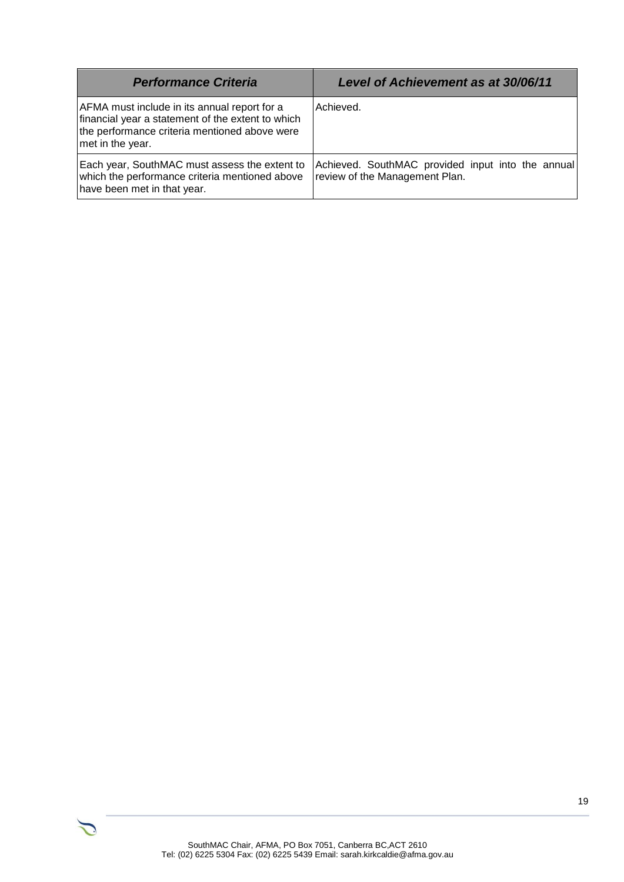| <b>Performance Criteria</b>                                                                                                                                            | <b>Level of Achievement as at 30/06/11</b>                                          |
|------------------------------------------------------------------------------------------------------------------------------------------------------------------------|-------------------------------------------------------------------------------------|
| AFMA must include in its annual report for a<br>financial year a statement of the extent to which<br>the performance criteria mentioned above were<br>met in the year. | Achieved.                                                                           |
| Each year, SouthMAC must assess the extent to<br>which the performance criteria mentioned above<br>have been met in that year.                                         | Achieved. SouthMAC provided input into the annual<br>review of the Management Plan. |



 $\mathcal{L}$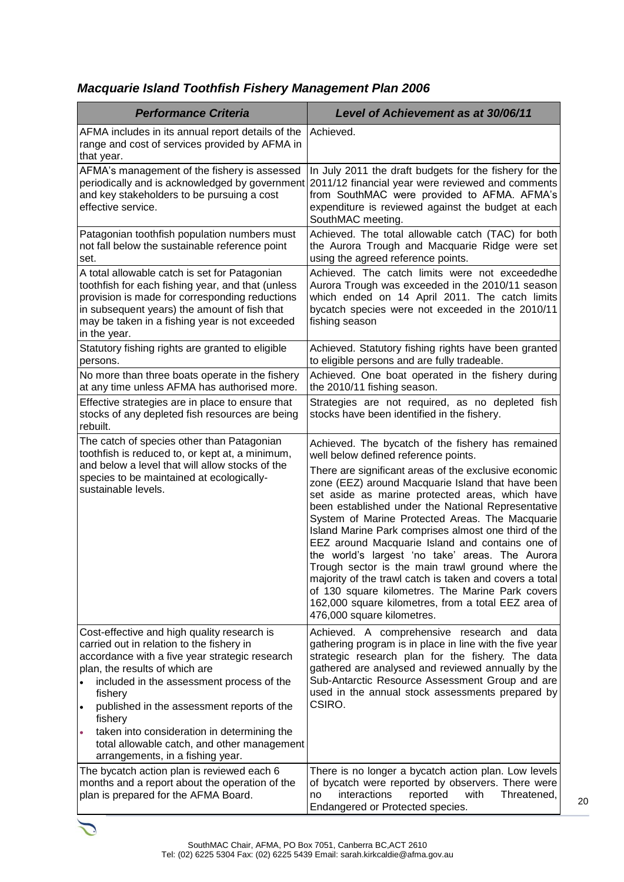# *Macquarie Island Toothfish Fishery Management Plan 2006*

| <b>Performance Criteria</b>                                                                                                                                                                                                                                                                                                                                                                                                                       | <b>Level of Achievement as at 30/06/11</b>                                                                                                                                                                                                                                                                                                                                                                                                                                                                                                                                                                                                                                                   |
|---------------------------------------------------------------------------------------------------------------------------------------------------------------------------------------------------------------------------------------------------------------------------------------------------------------------------------------------------------------------------------------------------------------------------------------------------|----------------------------------------------------------------------------------------------------------------------------------------------------------------------------------------------------------------------------------------------------------------------------------------------------------------------------------------------------------------------------------------------------------------------------------------------------------------------------------------------------------------------------------------------------------------------------------------------------------------------------------------------------------------------------------------------|
| AFMA includes in its annual report details of the<br>range and cost of services provided by AFMA in<br>that year.                                                                                                                                                                                                                                                                                                                                 | Achieved.                                                                                                                                                                                                                                                                                                                                                                                                                                                                                                                                                                                                                                                                                    |
| AFMA's management of the fishery is assessed<br>periodically and is acknowledged by government<br>and key stakeholders to be pursuing a cost<br>effective service.                                                                                                                                                                                                                                                                                | In July 2011 the draft budgets for the fishery for the<br>2011/12 financial year were reviewed and comments<br>from SouthMAC were provided to AFMA. AFMA's<br>expenditure is reviewed against the budget at each<br>SouthMAC meeting.                                                                                                                                                                                                                                                                                                                                                                                                                                                        |
| Patagonian toothfish population numbers must<br>not fall below the sustainable reference point<br>set.                                                                                                                                                                                                                                                                                                                                            | Achieved. The total allowable catch (TAC) for both<br>the Aurora Trough and Macquarie Ridge were set<br>using the agreed reference points.                                                                                                                                                                                                                                                                                                                                                                                                                                                                                                                                                   |
| A total allowable catch is set for Patagonian<br>toothfish for each fishing year, and that (unless<br>provision is made for corresponding reductions<br>in subsequent years) the amount of fish that<br>may be taken in a fishing year is not exceeded<br>in the year.                                                                                                                                                                            | Achieved. The catch limits were not exceededhe<br>Aurora Trough was exceeded in the 2010/11 season<br>which ended on 14 April 2011. The catch limits<br>bycatch species were not exceeded in the 2010/11<br>fishing season                                                                                                                                                                                                                                                                                                                                                                                                                                                                   |
| Statutory fishing rights are granted to eligible<br>persons.                                                                                                                                                                                                                                                                                                                                                                                      | Achieved. Statutory fishing rights have been granted<br>to eligible persons and are fully tradeable.                                                                                                                                                                                                                                                                                                                                                                                                                                                                                                                                                                                         |
| No more than three boats operate in the fishery<br>at any time unless AFMA has authorised more.                                                                                                                                                                                                                                                                                                                                                   | Achieved. One boat operated in the fishery during<br>the 2010/11 fishing season.                                                                                                                                                                                                                                                                                                                                                                                                                                                                                                                                                                                                             |
| Effective strategies are in place to ensure that<br>stocks of any depleted fish resources are being<br>rebuilt.                                                                                                                                                                                                                                                                                                                                   | Strategies are not required, as no depleted fish<br>stocks have been identified in the fishery.                                                                                                                                                                                                                                                                                                                                                                                                                                                                                                                                                                                              |
| The catch of species other than Patagonian<br>toothfish is reduced to, or kept at, a minimum,<br>and below a level that will allow stocks of the<br>species to be maintained at ecologically-<br>sustainable levels.                                                                                                                                                                                                                              | Achieved. The bycatch of the fishery has remained<br>well below defined reference points.                                                                                                                                                                                                                                                                                                                                                                                                                                                                                                                                                                                                    |
|                                                                                                                                                                                                                                                                                                                                                                                                                                                   | There are significant areas of the exclusive economic<br>zone (EEZ) around Macquarie Island that have been<br>set aside as marine protected areas, which have<br>been established under the National Representative<br>System of Marine Protected Areas. The Macquarie<br>Island Marine Park comprises almost one third of the<br>EEZ around Macquarie Island and contains one of<br>the world's largest 'no take' areas. The Aurora<br>Trough sector is the main trawl ground where the<br>majority of the trawl catch is taken and covers a total<br>of 130 square kilometres. The Marine Park covers<br>162,000 square kilometres, from a total EEZ area of<br>476,000 square kilometres. |
| Cost-effective and high quality research is<br>carried out in relation to the fishery in<br>accordance with a five year strategic research<br>plan, the results of which are<br>included in the assessment process of the<br>fishery<br>published in the assessment reports of the<br>$\bullet$<br>fishery<br>taken into consideration in determining the<br>۰<br>total allowable catch, and other management<br>arrangements, in a fishing year. | Achieved. A comprehensive research and<br>data<br>gathering program is in place in line with the five year<br>strategic research plan for the fishery. The data<br>gathered are analysed and reviewed annually by the<br>Sub-Antarctic Resource Assessment Group and are<br>used in the annual stock assessments prepared by<br>CSIRO.                                                                                                                                                                                                                                                                                                                                                       |
| The bycatch action plan is reviewed each 6<br>months and a report about the operation of the<br>plan is prepared for the AFMA Board.                                                                                                                                                                                                                                                                                                              | There is no longer a bycatch action plan. Low levels<br>of bycatch were reported by observers. There were<br>interactions<br>reported<br>with<br>Threatened,<br>no                                                                                                                                                                                                                                                                                                                                                                                                                                                                                                                           |
|                                                                                                                                                                                                                                                                                                                                                                                                                                                   | Endangered or Protected species.                                                                                                                                                                                                                                                                                                                                                                                                                                                                                                                                                                                                                                                             |



 $\tilde{\mathcal{L}}$ 

20